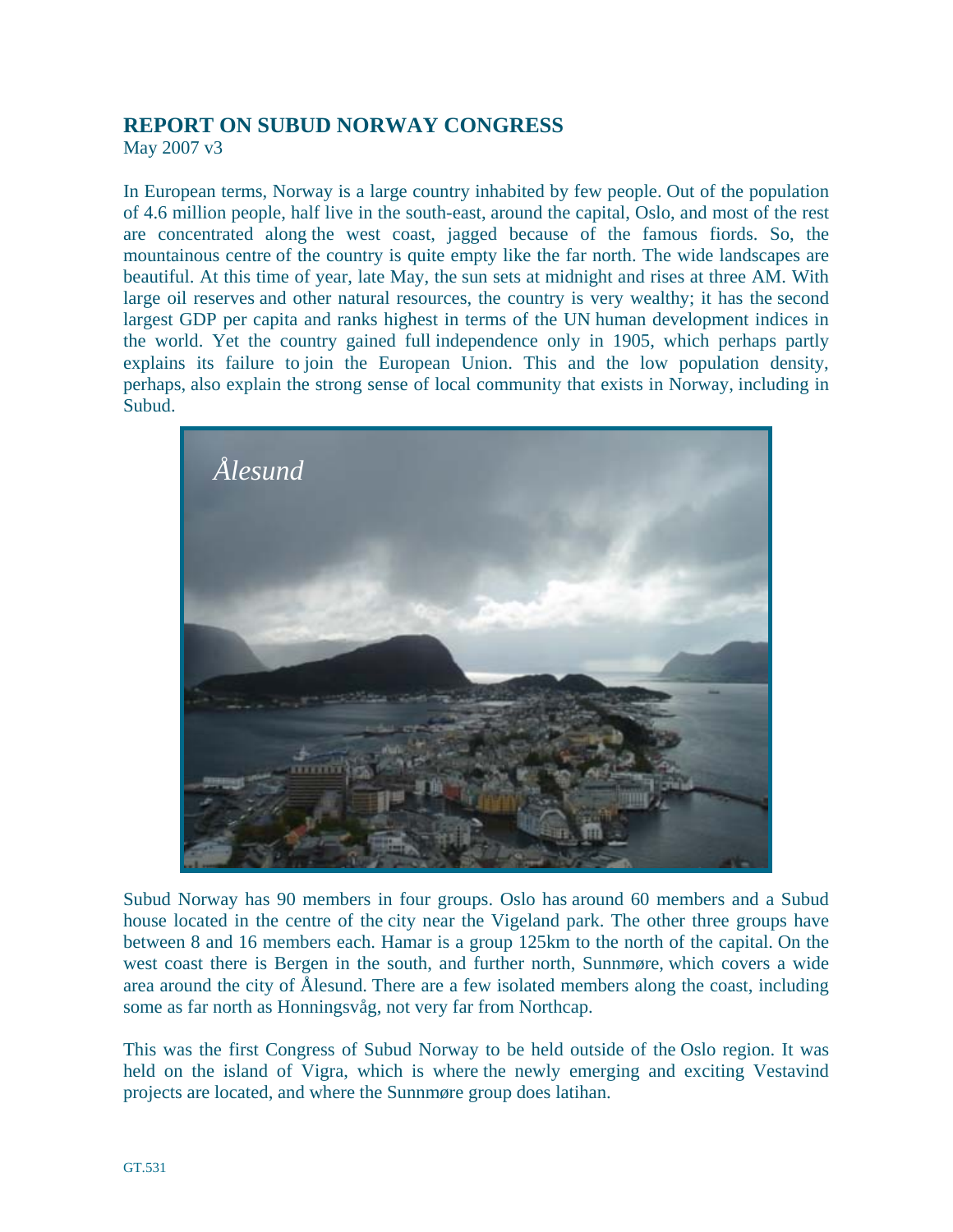## **REPORT ON SUBUD NORWAY CONGRESS**

May 2007 v3

In European terms, Norway is a large country inhabited by few people. Out of the population of 4.6 million people, half live in the south-east, around the capital, Oslo, and most of the rest are concentrated along the west coast, jagged because of the famous fiords. So, the mountainous centre of the country is quite empty like the far north. The wide landscapes are beautiful. At this time of year, late May, the sun sets at midnight and rises at three AM. With large oil reserves and other natural resources, the country is very wealthy; it has the second largest GDP per capita and ranks highest in terms of the UN human development indices in the world. Yet the country gained full independence only in 1905, which perhaps partly explains its failure to join the European Union. This and the low population density, perhaps, also explain the strong sense of local community that exists in Norway, including in Subud.



Subud Norway has 90 members in four groups. Oslo has around 60 members and a Subud house located in the centre of the city near the Vigeland park. The other three groups have between 8 and 16 members each. Hamar is a group 125km to the north of the capital. On the west coast there is Bergen in the south, and further north, Sunnmøre, which covers a wide area around the city of Ålesund. There are a few isolated members along the coast, including some as far north as Honningsvåg, not very far from Northcap.

This was the first Congress of Subud Norway to be held outside of the Oslo region. It was held on the island of Vigra, which is where the newly emerging and exciting Vestavind projects are located, and where the Sunnmøre group does latihan.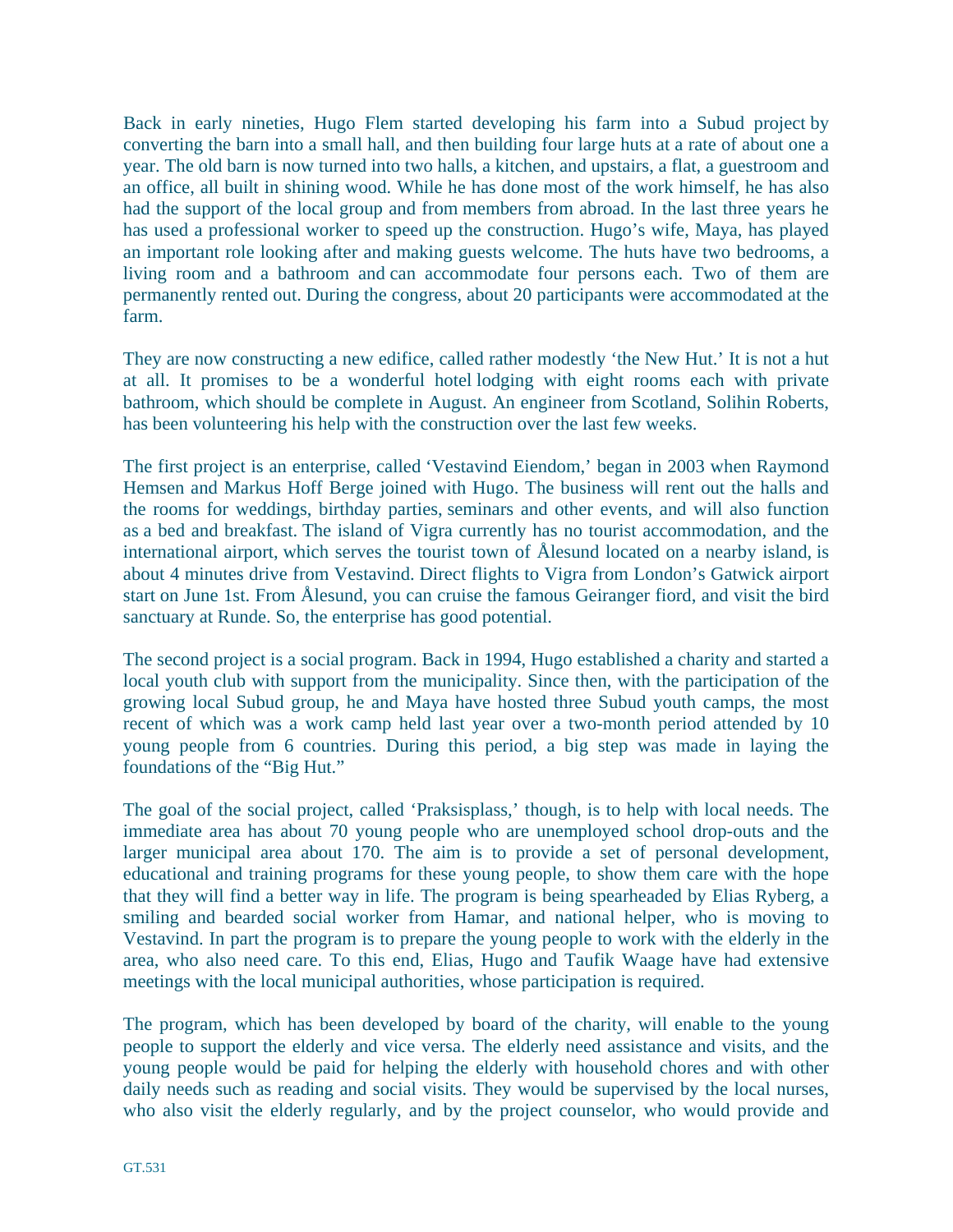Back in early nineties, Hugo Flem started developing his farm into a Subud project by converting the barn into a small hall, and then building four large huts at a rate of about one a year. The old barn is now turned into two halls, a kitchen, and upstairs, a flat, a guestroom and an office, all built in shining wood. While he has done most of the work himself, he has also had the support of the local group and from members from abroad. In the last three years he has used a professional worker to speed up the construction. Hugo's wife, Maya, has played an important role looking after and making guests welcome. The huts have two bedrooms, a living room and a bathroom and can accommodate four persons each. Two of them are permanently rented out. During the congress, about 20 participants were accommodated at the farm.

They are now constructing a new edifice, called rather modestly 'the New Hut.' It is not a hut at all. It promises to be a wonderful hotel lodging with eight rooms each with private bathroom, which should be complete in August. An engineer from Scotland, Solihin Roberts, has been volunteering his help with the construction over the last few weeks.

The first project is an enterprise, called 'Vestavind Eiendom,' began in 2003 when Raymond Hemsen and Markus Hoff Berge joined with Hugo. The business will rent out the halls and the rooms for weddings, birthday parties, seminars and other events, and will also function as a bed and breakfast. The island of Vigra currently has no tourist accommodation, and the international airport, which serves the tourist town of Ålesund located on a nearby island, is about 4 minutes drive from Vestavind. Direct flights to Vigra from London's Gatwick airport start on June 1st. From Ålesund, you can cruise the famous Geiranger fiord, and visit the bird sanctuary at Runde. So, the enterprise has good potential.

The second project is a social program. Back in 1994, Hugo established a charity and started a local youth club with support from the municipality. Since then, with the participation of the growing local Subud group, he and Maya have hosted three Subud youth camps, the most recent of which was a work camp held last year over a two-month period attended by 10 young people from 6 countries. During this period, a big step was made in laying the foundations of the "Big Hut."

The goal of the social project, called 'Praksisplass,' though, is to help with local needs. The immediate area has about 70 young people who are unemployed school drop-outs and the larger municipal area about 170. The aim is to provide a set of personal development, educational and training programs for these young people, to show them care with the hope that they will find a better way in life. The program is being spearheaded by Elias Ryberg, a smiling and bearded social worker from Hamar, and national helper, who is moving to Vestavind. In part the program is to prepare the young people to work with the elderly in the area, who also need care. To this end, Elias, Hugo and Taufik Waage have had extensive meetings with the local municipal authorities, whose participation is required.

The program, which has been developed by board of the charity, will enable to the young people to support the elderly and vice versa. The elderly need assistance and visits, and the young people would be paid for helping the elderly with household chores and with other daily needs such as reading and social visits. They would be supervised by the local nurses, who also visit the elderly regularly, and by the project counselor, who would provide and